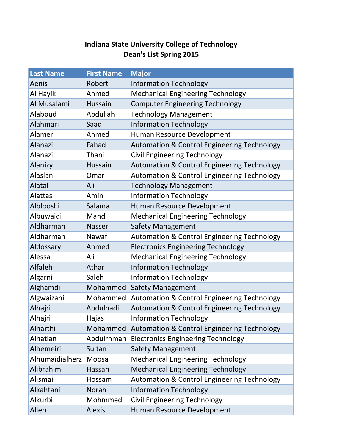## **Indiana State University College of Technology Dean's List Spring 2015**

| <b>Last Name</b> | <b>First Name</b> | <b>Major</b>                                           |
|------------------|-------------------|--------------------------------------------------------|
| Aenis            | Robert            | <b>Information Technology</b>                          |
| Al Hayik         | Ahmed             | <b>Mechanical Engineering Technology</b>               |
| Al Musalami      | Hussain           | <b>Computer Engineering Technology</b>                 |
| Alaboud          | Abdullah          | <b>Technology Management</b>                           |
| Alahmari         | Saad              | <b>Information Technology</b>                          |
| Alameri          | Ahmed             | Human Resource Development                             |
| Alanazi          | Fahad             | <b>Automation &amp; Control Engineering Technology</b> |
| Alanazi          | Thani             | <b>Civil Engineering Technology</b>                    |
| Alanizy          | Hussain           | <b>Automation &amp; Control Engineering Technology</b> |
| Alaslani         | Omar              | <b>Automation &amp; Control Engineering Technology</b> |
| Alatal           | Ali               | <b>Technology Management</b>                           |
| <b>Alattas</b>   | Amin              | <b>Information Technology</b>                          |
| Alblooshi        | Salama            | Human Resource Development                             |
| Albuwaidi        | Mahdi             | <b>Mechanical Engineering Technology</b>               |
| Aldharman        | <b>Nasser</b>     | <b>Safety Management</b>                               |
| Aldharman        | Nawaf             | <b>Automation &amp; Control Engineering Technology</b> |
| Aldossary        | Ahmed             | <b>Electronics Engineering Technology</b>              |
| Alessa           | Ali               | <b>Mechanical Engineering Technology</b>               |
| Alfaleh          | Athar             | <b>Information Technology</b>                          |
| Algarni          | Saleh             | <b>Information Technology</b>                          |
| Alghamdi         | Mohammed          | Safety Management                                      |
| Algwaizani       | Mohammed          | <b>Automation &amp; Control Engineering Technology</b> |
| Alhajri          | Abdulhadi         | <b>Automation &amp; Control Engineering Technology</b> |
| Alhajri          | Hajas             | <b>Information Technology</b>                          |
| Alharthi         |                   | Mohammed Automation & Control Engineering Technology   |
| Alhatlan         | Abdulrhman        | <b>Electronics Engineering Technology</b>              |
| Alhemeiri        | Sultan            | <b>Safety Management</b>                               |
| Alhumaidialherz  | Moosa             | <b>Mechanical Engineering Technology</b>               |
| Alibrahim        | Hassan            | <b>Mechanical Engineering Technology</b>               |
| Alismail         | Hossam            | <b>Automation &amp; Control Engineering Technology</b> |
| Alkahtani        | <b>Norah</b>      | <b>Information Technology</b>                          |
| Alkurbi          | Mohmmed           | <b>Civil Engineering Technology</b>                    |
| Allen            | <b>Alexis</b>     | Human Resource Development                             |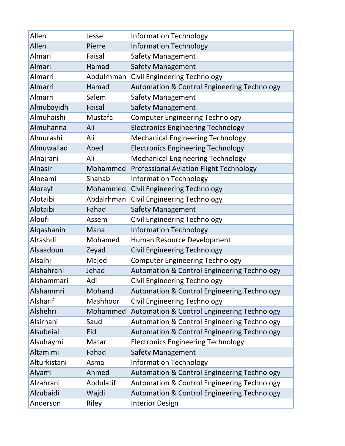| Allen          | Jesse      | <b>Information Technology</b>                          |
|----------------|------------|--------------------------------------------------------|
| Allen          | Pierre     | <b>Information Technology</b>                          |
| Almari         | Faisal     | <b>Safety Management</b>                               |
| Almari         | Hamad      | Safety Management                                      |
| Almarri        | Abdulrhman | <b>Civil Engineering Technology</b>                    |
| Almarri        | Hamad      | <b>Automation &amp; Control Engineering Technology</b> |
| Almarri        | Salem      | <b>Safety Management</b>                               |
| Almubayidh     | Faisal     | <b>Safety Management</b>                               |
| Almuhaishi     | Mustafa    | <b>Computer Engineering Technology</b>                 |
| Almuhanna      | Ali        | <b>Electronics Engineering Technology</b>              |
| Almurashi      | Ali        | <b>Mechanical Engineering Technology</b>               |
| Almuwallad     | Abed       | <b>Electronics Engineering Technology</b>              |
| Alnajrani      | Ali        | <b>Mechanical Engineering Technology</b>               |
| <b>Alnasir</b> | Mohammed   | <b>Professional Aviation Flight Technology</b>         |
| Alneami        | Shahab     | <b>Information Technology</b>                          |
| Alorayf        | Mohammed   | <b>Civil Engineering Technology</b>                    |
| Alotaibi       | Abdalrhman | <b>Civil Engineering Technology</b>                    |
| Alotaibi       | Fahad      | <b>Safety Management</b>                               |
| Aloufi         | Assem      | <b>Civil Engineering Technology</b>                    |
| Alqashanin     | Mana       | <b>Information Technology</b>                          |
| Alrashdi       | Mohamed    | Human Resource Development                             |
| Alsaadoun      | Zeyad      | <b>Civil Engineering Technology</b>                    |
| Alsalhi        | Majed      | <b>Computer Engineering Technology</b>                 |
| Alshahrani     | Jehad      | <b>Automation &amp; Control Engineering Technology</b> |
| Alshammari     | Adi        | Civil Engineering Technology                           |
| Alshammri      | Mohand     | <b>Automation &amp; Control Engineering Technology</b> |
| Alsharif       | Mashhoor   | <b>Civil Engineering Technology</b>                    |
| Alshehri       | Mohammed   | <b>Automation &amp; Control Engineering Technology</b> |
| Alsirhani      | Saud       | <b>Automation &amp; Control Engineering Technology</b> |
| Alsubeiai      | Eid        | <b>Automation &amp; Control Engineering Technology</b> |
| Alsuhaymi      | Matar      | <b>Electronics Engineering Technology</b>              |
| Altamimi       | Fahad      | <b>Safety Management</b>                               |
| Alturkistani   | Asma       | <b>Information Technology</b>                          |
| Alyami         | Ahmed      | Automation & Control Engineering Technology            |
| Alzahrani      | Abdulatif  | <b>Automation &amp; Control Engineering Technology</b> |
| Alzubaidi      | Wajdi      | <b>Automation &amp; Control Engineering Technology</b> |
| Anderson       | Riley      | <b>Interior Design</b>                                 |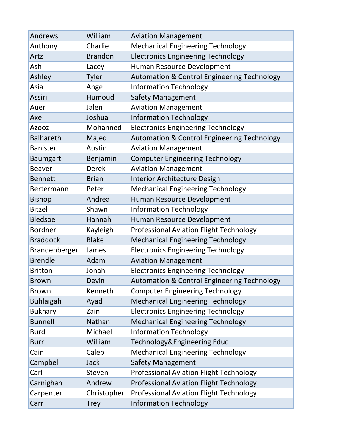| Andrews          | William        | <b>Aviation Management</b>                             |
|------------------|----------------|--------------------------------------------------------|
| Anthony          | Charlie        | <b>Mechanical Engineering Technology</b>               |
| Artz             | <b>Brandon</b> | <b>Electronics Engineering Technology</b>              |
| Ash              | Lacey          | Human Resource Development                             |
| Ashley           | Tyler          | <b>Automation &amp; Control Engineering Technology</b> |
| Asia             | Ange           | <b>Information Technology</b>                          |
| Assiri           | Humoud         | <b>Safety Management</b>                               |
| Auer             | Jalen          | <b>Aviation Management</b>                             |
| Axe              | Joshua         | <b>Information Technology</b>                          |
| <b>Azooz</b>     | Mohanned       | <b>Electronics Engineering Technology</b>              |
| <b>Balhareth</b> | Majed          | <b>Automation &amp; Control Engineering Technology</b> |
| <b>Banister</b>  | Austin         | <b>Aviation Management</b>                             |
| <b>Baumgart</b>  | Benjamin       | <b>Computer Engineering Technology</b>                 |
| <b>Beaver</b>    | <b>Derek</b>   | <b>Aviation Management</b>                             |
| <b>Bennett</b>   | <b>Brian</b>   | Interior Architecture Design                           |
| Bertermann       | Peter          | <b>Mechanical Engineering Technology</b>               |
| <b>Bishop</b>    | Andrea         | Human Resource Development                             |
| <b>Bitzel</b>    | Shawn          | <b>Information Technology</b>                          |
| <b>Bledsoe</b>   | Hannah         | Human Resource Development                             |
| <b>Bordner</b>   | Kayleigh       | <b>Professional Aviation Flight Technology</b>         |
| <b>Braddock</b>  | <b>Blake</b>   | <b>Mechanical Engineering Technology</b>               |
| Brandenberger    | James          | <b>Electronics Engineering Technology</b>              |
| <b>Brendle</b>   | Adam           | <b>Aviation Management</b>                             |
| <b>Britton</b>   | Jonah          | <b>Electronics Engineering Technology</b>              |
| <b>Brown</b>     | Devin          | <b>Automation &amp; Control Engineering Technology</b> |
| <b>Brown</b>     | Kenneth        | <b>Computer Engineering Technology</b>                 |
| <b>Buhlaigah</b> | Ayad           | <b>Mechanical Engineering Technology</b>               |
| <b>Bukhary</b>   | Zain           | <b>Electronics Engineering Technology</b>              |
| <b>Bunnell</b>   | Nathan         | <b>Mechanical Engineering Technology</b>               |
| <b>Burd</b>      | Michael        | <b>Information Technology</b>                          |
| <b>Burr</b>      | William        | Technology&Engineering Educ                            |
| Cain             | Caleb          | <b>Mechanical Engineering Technology</b>               |
| Campbell         | <b>Jack</b>    | <b>Safety Management</b>                               |
| Carl             | Steven         | <b>Professional Aviation Flight Technology</b>         |
| Carnighan        | Andrew         | <b>Professional Aviation Flight Technology</b>         |
| Carpenter        | Christopher    | <b>Professional Aviation Flight Technology</b>         |
| Carr             | <b>Trey</b>    | <b>Information Technology</b>                          |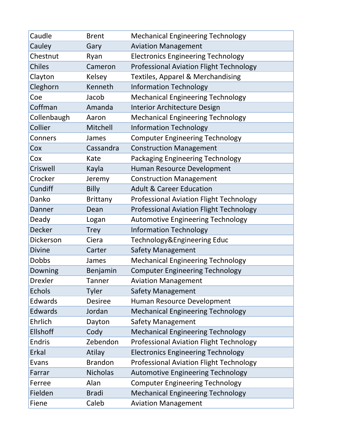| Caudle         | <b>Brent</b>    | <b>Mechanical Engineering Technology</b>       |
|----------------|-----------------|------------------------------------------------|
| Cauley         | Gary            | <b>Aviation Management</b>                     |
| Chestnut       | Ryan            | <b>Electronics Engineering Technology</b>      |
| <b>Chiles</b>  | Cameron         | <b>Professional Aviation Flight Technology</b> |
| Clayton        | Kelsey          | <b>Textiles, Apparel &amp; Merchandising</b>   |
| Cleghorn       | Kenneth         | <b>Information Technology</b>                  |
| Coe            | Jacob           | <b>Mechanical Engineering Technology</b>       |
| Coffman        | Amanda          | Interior Architecture Design                   |
| Collenbaugh    | Aaron           | <b>Mechanical Engineering Technology</b>       |
| Collier        | Mitchell        | <b>Information Technology</b>                  |
| Conners        | James           | <b>Computer Engineering Technology</b>         |
| Cox            | Cassandra       | <b>Construction Management</b>                 |
| Cox            | Kate            | Packaging Engineering Technology               |
| Criswell       | Kayla           | Human Resource Development                     |
| Crocker        | Jeremy          | <b>Construction Management</b>                 |
| Cundiff        | <b>Billy</b>    | <b>Adult &amp; Career Education</b>            |
| Danko          | <b>Brittany</b> | <b>Professional Aviation Flight Technology</b> |
| Danner         | Dean            | <b>Professional Aviation Flight Technology</b> |
| Deady          | Logan           | <b>Automotive Engineering Technology</b>       |
| <b>Decker</b>  | <b>Trey</b>     | <b>Information Technology</b>                  |
| Dickerson      | Ciera           | Technology&Engineering Educ                    |
| <b>Divine</b>  | Carter          | Safety Management                              |
| <b>Dobbs</b>   | James           | <b>Mechanical Engineering Technology</b>       |
| Downing        | Benjamin        | <b>Computer Engineering Technology</b>         |
| <b>Drexler</b> | Tanner          | <b>Aviation Management</b>                     |
| <b>Echols</b>  | Tyler           | <b>Safety Management</b>                       |
| Edwards        | <b>Desiree</b>  | Human Resource Development                     |
| Edwards        | Jordan          | <b>Mechanical Engineering Technology</b>       |
| Ehrlich        | Dayton          | <b>Safety Management</b>                       |
| Ellshoff       | Cody            | <b>Mechanical Engineering Technology</b>       |
| <b>Endris</b>  | Zebendon        | <b>Professional Aviation Flight Technology</b> |
| Erkal          | Atilay          | <b>Electronics Engineering Technology</b>      |
| Evans          | <b>Brandon</b>  | <b>Professional Aviation Flight Technology</b> |
| Farrar         | <b>Nicholas</b> | <b>Automotive Engineering Technology</b>       |
| Ferree         | Alan            | <b>Computer Engineering Technology</b>         |
| Fielden        | <b>Bradi</b>    | <b>Mechanical Engineering Technology</b>       |
| Fiene          | Caleb           | <b>Aviation Management</b>                     |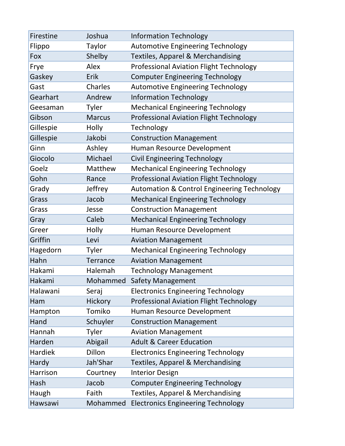| Firestine      | Joshua        | <b>Information Technology</b>                          |
|----------------|---------------|--------------------------------------------------------|
| Flippo         | Taylor        | <b>Automotive Engineering Technology</b>               |
| Fox            | Shelby        | <b>Textiles, Apparel &amp; Merchandising</b>           |
| Frye           | Alex          | <b>Professional Aviation Flight Technology</b>         |
| Gaskey         | Erik          | <b>Computer Engineering Technology</b>                 |
| Gast           | Charles       | <b>Automotive Engineering Technology</b>               |
| Gearhart       | Andrew        | <b>Information Technology</b>                          |
| Geesaman       | Tyler         | <b>Mechanical Engineering Technology</b>               |
| Gibson         | <b>Marcus</b> | <b>Professional Aviation Flight Technology</b>         |
| Gillespie      | Holly         | Technology                                             |
| Gillespie      | Jakobi        | <b>Construction Management</b>                         |
| Ginn           | Ashley        | Human Resource Development                             |
| Giocolo        | Michael       | <b>Civil Engineering Technology</b>                    |
| Goelz          | Matthew       | <b>Mechanical Engineering Technology</b>               |
| Gohn           | Rance         | <b>Professional Aviation Flight Technology</b>         |
| Grady          | Jeffrey       | <b>Automation &amp; Control Engineering Technology</b> |
| Grass          | Jacob         | <b>Mechanical Engineering Technology</b>               |
| Grass          | Jesse         | <b>Construction Management</b>                         |
| Gray           | Caleb         | <b>Mechanical Engineering Technology</b>               |
| Greer          | Holly         | Human Resource Development                             |
| Griffin        | Levi          | <b>Aviation Management</b>                             |
| Hagedorn       | Tyler         | <b>Mechanical Engineering Technology</b>               |
| Hahn           | Terrance      | <b>Aviation Management</b>                             |
| Hakami         | Halemah       | <b>Technology Management</b>                           |
| Hakami         | Mohammed      | <b>Safety Management</b>                               |
| Halawani       | Seraj         | <b>Electronics Engineering Technology</b>              |
| Ham            | Hickory       | <b>Professional Aviation Flight Technology</b>         |
| Hampton        | Tomiko        | Human Resource Development                             |
| Hand           | Schuyler      | <b>Construction Management</b>                         |
| Hannah         | Tyler         | <b>Aviation Management</b>                             |
| Harden         | Abigail       | <b>Adult &amp; Career Education</b>                    |
| <b>Hardiek</b> | Dillon        | <b>Electronics Engineering Technology</b>              |
| Hardy          | Jah'Shar      | <b>Textiles, Apparel &amp; Merchandising</b>           |
| Harrison       | Courtney      | <b>Interior Design</b>                                 |
| Hash           | Jacob         | <b>Computer Engineering Technology</b>                 |
| Haugh          | Faith         | Textiles, Apparel & Merchandising                      |
| Hawsawi        | Mohammed      | <b>Electronics Engineering Technology</b>              |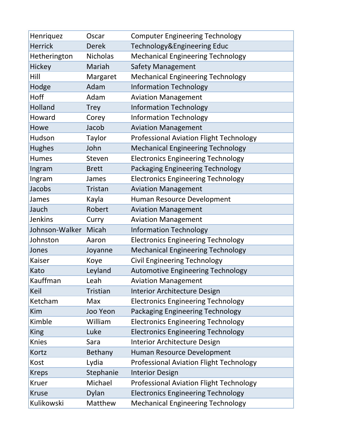| Henriquez      | Oscar           | <b>Computer Engineering Technology</b>         |
|----------------|-----------------|------------------------------------------------|
| <b>Herrick</b> | <b>Derek</b>    | Technology&Engineering Educ                    |
| Hetherington   | <b>Nicholas</b> | <b>Mechanical Engineering Technology</b>       |
| Hickey         | Mariah          | Safety Management                              |
| Hill           | Margaret        | <b>Mechanical Engineering Technology</b>       |
| Hodge          | Adam            | <b>Information Technology</b>                  |
| Hoff           | Adam            | <b>Aviation Management</b>                     |
| Holland        | <b>Trey</b>     | <b>Information Technology</b>                  |
| Howard         | Corey           | <b>Information Technology</b>                  |
| Howe           | Jacob           | <b>Aviation Management</b>                     |
| Hudson         | Taylor          | Professional Aviation Flight Technology        |
| <b>Hughes</b>  | John            | <b>Mechanical Engineering Technology</b>       |
| <b>Humes</b>   | Steven          | <b>Electronics Engineering Technology</b>      |
| Ingram         | <b>Brett</b>    | Packaging Engineering Technology               |
| Ingram         | James           | <b>Electronics Engineering Technology</b>      |
| Jacobs         | Tristan         | <b>Aviation Management</b>                     |
| James          | Kayla           | Human Resource Development                     |
| Jauch          | Robert          | <b>Aviation Management</b>                     |
| <b>Jenkins</b> | Curry           | <b>Aviation Management</b>                     |
| Johnson-Walker | Micah           | <b>Information Technology</b>                  |
| Johnston       | Aaron           | <b>Electronics Engineering Technology</b>      |
| Jones          | Joyanne         | <b>Mechanical Engineering Technology</b>       |
| Kaiser         | Koye            | <b>Civil Engineering Technology</b>            |
| Kato           | Leyland         | <b>Automotive Engineering Technology</b>       |
| Kauffman       | Leah            | <b>Aviation Management</b>                     |
| Keil           | Tristian        | Interior Architecture Design                   |
| Ketcham        | Max             | <b>Electronics Engineering Technology</b>      |
| Kim            | Joo Yeon        | Packaging Engineering Technology               |
| Kimble         | William         | <b>Electronics Engineering Technology</b>      |
| <b>King</b>    | Luke            | <b>Electronics Engineering Technology</b>      |
| <b>Knies</b>   | Sara            | Interior Architecture Design                   |
| Kortz          | Bethany         | Human Resource Development                     |
| Kost           | Lydia           | <b>Professional Aviation Flight Technology</b> |
| <b>Kreps</b>   | Stephanie       | <b>Interior Design</b>                         |
| <b>Kruer</b>   | Michael         | <b>Professional Aviation Flight Technology</b> |
| <b>Kruse</b>   | Dylan           | <b>Electronics Engineering Technology</b>      |
| Kulikowski     | Matthew         | <b>Mechanical Engineering Technology</b>       |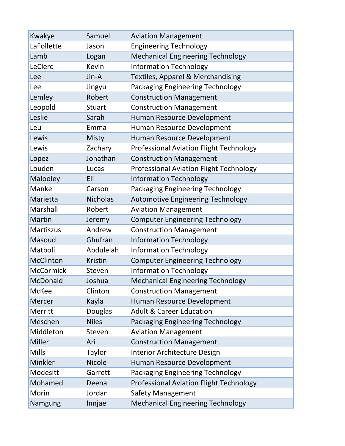| Kwakye           | Samuel          | <b>Aviation Management</b>                     |
|------------------|-----------------|------------------------------------------------|
| LaFollette       | Jason           | <b>Engineering Technology</b>                  |
| Lamb             | Logan           | <b>Mechanical Engineering Technology</b>       |
| LeClerc          | Kevin           | <b>Information Technology</b>                  |
| Lee              | Jin-A           | <b>Textiles, Apparel &amp; Merchandising</b>   |
| Lee              | Jingyu          | <b>Packaging Engineering Technology</b>        |
| Lemley           | Robert          | <b>Construction Management</b>                 |
| Leopold          | <b>Stuart</b>   | <b>Construction Management</b>                 |
| Leslie           | Sarah           | Human Resource Development                     |
| Leu              | Emma            | Human Resource Development                     |
| Lewis            | <b>Misty</b>    | Human Resource Development                     |
| Lewis            | Zachary         | <b>Professional Aviation Flight Technology</b> |
| Lopez            | Jonathan        | <b>Construction Management</b>                 |
| Louden           | Lucas           | <b>Professional Aviation Flight Technology</b> |
| Malooley         | Eli             | <b>Information Technology</b>                  |
| Manke            | Carson          | <b>Packaging Engineering Technology</b>        |
| Marietta         | <b>Nicholas</b> | <b>Automotive Engineering Technology</b>       |
| Marshall         | Robert          | <b>Aviation Management</b>                     |
| <b>Martin</b>    | Jeremy          | <b>Computer Engineering Technology</b>         |
| <b>Martiszus</b> | Andrew          | <b>Construction Management</b>                 |
| Masoud           | Ghufran         | <b>Information Technology</b>                  |
| Matboli          | Abdulelah       | <b>Information Technology</b>                  |
| McClinton        | <b>Kristin</b>  | <b>Computer Engineering Technology</b>         |
| <b>McCormick</b> | Steven          | <b>Information Technology</b>                  |
| McDonald         | Joshua          | <b>Mechanical Engineering Technology</b>       |
| <b>McKee</b>     | Clinton         | <b>Construction Management</b>                 |
| Mercer           | Kayla           | Human Resource Development                     |
| Merritt          | Douglas         | <b>Adult &amp; Career Education</b>            |
| Meschen          | <b>Niles</b>    | <b>Packaging Engineering Technology</b>        |
| Middleton        | Steven          | <b>Aviation Management</b>                     |
| Miller           | Ari             | <b>Construction Management</b>                 |
| <b>Mills</b>     | Taylor          | <b>Interior Architecture Design</b>            |
| Minkler          | <b>Nicole</b>   | Human Resource Development                     |
| Modesitt         | Garrett         | <b>Packaging Engineering Technology</b>        |
| Mohamed          | Deena           | <b>Professional Aviation Flight Technology</b> |
| Morin            | Jordan          | <b>Safety Management</b>                       |
| Namgung          | Innjae          | <b>Mechanical Engineering Technology</b>       |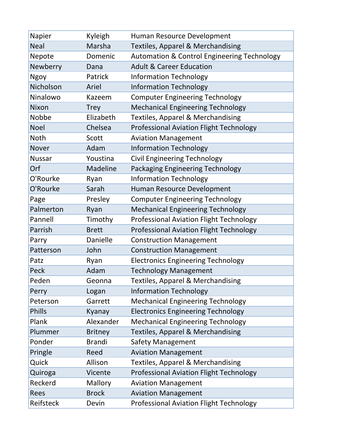| Napier        | Kyleigh         | Human Resource Development                             |
|---------------|-----------------|--------------------------------------------------------|
| <b>Neal</b>   | Marsha          | <b>Textiles, Apparel &amp; Merchandising</b>           |
| Nepote        | Domenic         | <b>Automation &amp; Control Engineering Technology</b> |
| Newberry      | Dana            | <b>Adult &amp; Career Education</b>                    |
| Ngoy          | Patrick         | <b>Information Technology</b>                          |
| Nicholson     | Ariel           | <b>Information Technology</b>                          |
| Ninalowo      | Kazeem          | <b>Computer Engineering Technology</b>                 |
| Nixon         | <b>Trey</b>     | <b>Mechanical Engineering Technology</b>               |
| Nobbe         | Elizabeth       | <b>Textiles, Apparel &amp; Merchandising</b>           |
| <b>Noel</b>   | Chelsea         | <b>Professional Aviation Flight Technology</b>         |
| Noth          | Scott           | <b>Aviation Management</b>                             |
| <b>Nover</b>  | Adam            | <b>Information Technology</b>                          |
| <b>Nussar</b> | Youstina        | <b>Civil Engineering Technology</b>                    |
| Orf           | <b>Madeline</b> | <b>Packaging Engineering Technology</b>                |
| O'Rourke      | Ryan            | <b>Information Technology</b>                          |
| O'Rourke      | Sarah           | Human Resource Development                             |
| Page          | Presley         | <b>Computer Engineering Technology</b>                 |
| Palmerton     | Ryan            | <b>Mechanical Engineering Technology</b>               |
| Pannell       | Timothy         | <b>Professional Aviation Flight Technology</b>         |
| Parrish       | <b>Brett</b>    | <b>Professional Aviation Flight Technology</b>         |
| Parry         | Danielle        | <b>Construction Management</b>                         |
| Patterson     | John            | <b>Construction Management</b>                         |
| Patz          | Ryan            | <b>Electronics Engineering Technology</b>              |
| Peck          | Adam            | <b>Technology Management</b>                           |
| Peden         | Geonna          | <b>Textiles, Apparel &amp; Merchandising</b>           |
| Perry         | Logan           | <b>Information Technology</b>                          |
| Peterson      | Garrett         | <b>Mechanical Engineering Technology</b>               |
| <b>Phills</b> | Kyanay          | <b>Electronics Engineering Technology</b>              |
| Plank         | Alexander       | <b>Mechanical Engineering Technology</b>               |
| Plummer       | <b>Britney</b>  | Textiles, Apparel & Merchandising                      |
| Ponder        | <b>Brandi</b>   | <b>Safety Management</b>                               |
| Pringle       | Reed            | <b>Aviation Management</b>                             |
| Quick         | Allison         | <b>Textiles, Apparel &amp; Merchandising</b>           |
| Quiroga       | Vicente         | Professional Aviation Flight Technology                |
| Reckerd       | Mallory         | <b>Aviation Management</b>                             |
| Rees          | <b>Brock</b>    | <b>Aviation Management</b>                             |
| Reifsteck     | Devin           | <b>Professional Aviation Flight Technology</b>         |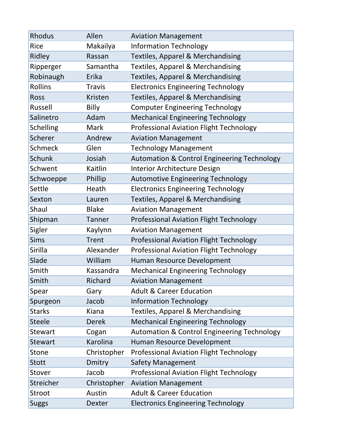| <b>Rhodus</b>    | Allen         | <b>Aviation Management</b>                             |
|------------------|---------------|--------------------------------------------------------|
| <b>Rice</b>      | Makailya      | <b>Information Technology</b>                          |
| Ridley           | Rassan        | <b>Textiles, Apparel &amp; Merchandising</b>           |
| Ripperger        | Samantha      | <b>Textiles, Apparel &amp; Merchandising</b>           |
| Robinaugh        | Erika         | <b>Textiles, Apparel &amp; Merchandising</b>           |
| <b>Rollins</b>   | <b>Travis</b> | <b>Electronics Engineering Technology</b>              |
| Ross             | Kristen       | <b>Textiles, Apparel &amp; Merchandising</b>           |
| Russell          | Billy         | <b>Computer Engineering Technology</b>                 |
| Salinetro        | Adam          | <b>Mechanical Engineering Technology</b>               |
| <b>Schelling</b> | Mark          | <b>Professional Aviation Flight Technology</b>         |
| Scherer          | Andrew        | <b>Aviation Management</b>                             |
| <b>Schmeck</b>   | Glen          | <b>Technology Management</b>                           |
| <b>Schunk</b>    | Josiah        | <b>Automation &amp; Control Engineering Technology</b> |
| Schwent          | Kaitlin       | <b>Interior Architecture Design</b>                    |
| Schwoeppe        | Phillip       | <b>Automotive Engineering Technology</b>               |
| Settle           | Heath         | <b>Electronics Engineering Technology</b>              |
| Sexton           | Lauren        | Textiles, Apparel & Merchandising                      |
| Shaul            | <b>Blake</b>  | <b>Aviation Management</b>                             |
| Shipman          | <b>Tanner</b> | <b>Professional Aviation Flight Technology</b>         |
| Sigler           | Kaylynn       | <b>Aviation Management</b>                             |
| <b>Sims</b>      | <b>Trent</b>  | <b>Professional Aviation Flight Technology</b>         |
| Sirilla          | Alexander     | <b>Professional Aviation Flight Technology</b>         |
| Slade            | William       | Human Resource Development                             |
| Smith            | Kassandra     | <b>Mechanical Engineering Technology</b>               |
| Smith            | Richard       | <b>Aviation Management</b>                             |
| Spear            | Gary          | <b>Adult &amp; Career Education</b>                    |
| Spurgeon         | Jacob         | <b>Information Technology</b>                          |
| <b>Starks</b>    | Kiana         | <b>Textiles, Apparel &amp; Merchandising</b>           |
| <b>Steele</b>    | <b>Derek</b>  | <b>Mechanical Engineering Technology</b>               |
| <b>Stewart</b>   | Cogan         | <b>Automation &amp; Control Engineering Technology</b> |
| <b>Stewart</b>   | Karolina      | Human Resource Development                             |
| Stone            | Christopher   | <b>Professional Aviation Flight Technology</b>         |
| <b>Stott</b>     | Dmitry        | <b>Safety Management</b>                               |
| Stover           | Jacob         | <b>Professional Aviation Flight Technology</b>         |
| Streicher        | Christopher   | <b>Aviation Management</b>                             |
| Stroot           | Austin        | <b>Adult &amp; Career Education</b>                    |
| <b>Suggs</b>     | Dexter        | <b>Electronics Engineering Technology</b>              |